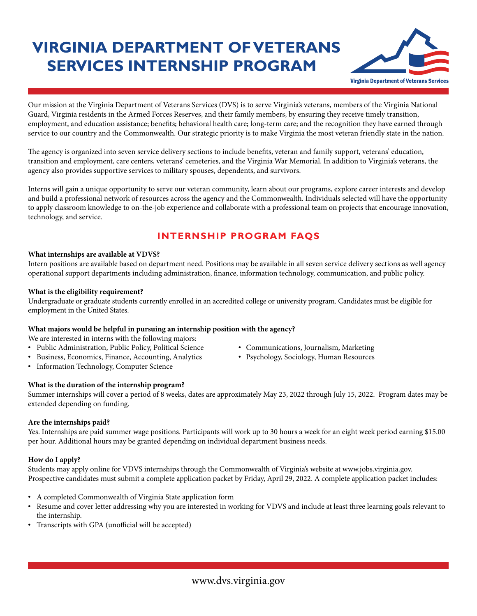# **VIRGINIA DEPARTMENT OF VETERANS SERVICES INTERNSHIP PROGRAM**



Our mission at the Virginia Department of Veterans Services (DVS) is to serve Virginia's veterans, members of the Virginia National Guard, Virginia residents in the Armed Forces Reserves, and their family members, by ensuring they receive timely transition, employment, and education assistance; benefits; behavioral health care; long-term care; and the recognition they have earned through service to our country and the Commonwealth. Our strategic priority is to make Virginia the most veteran friendly state in the nation.

The agency is organized into seven service delivery sections to include benefits, veteran and family support, veterans' education, transition and employment, care centers, veterans' cemeteries, and the Virginia War Memorial. In addition to Virginia's veterans, the agency also provides supportive services to military spouses, dependents, and survivors.

Interns will gain a unique opportunity to serve our veteran community, learn about our programs, explore career interests and develop and build a professional network of resources across the agency and the Commonwealth. Individuals selected will have the opportunity to apply classroom knowledge to on-the-job experience and collaborate with a professional team on projects that encourage innovation, technology, and service.

## **INTERNSHIP PROGRAM FAQS**

#### **What internships are available at VDVS?**

Intern positions are available based on department need. Positions may be available in all seven service delivery sections as well agency operational support departments including administration, finance, information technology, communication, and public policy.

#### **What is the eligibility requirement?**

Undergraduate or graduate students currently enrolled in an accredited college or university program. Candidates must be eligible for employment in the United States.

#### **What majors would be helpful in pursuing an internship position with the agency?**

We are interested in interns with the following majors:

- Public Administration, Public Policy, Political Science Communications, Journalism, Marketing
- Business, Economics, Finance, Accounting, Analytics Psychology, Sociology, Human Resources
- Information Technology, Computer Science

#### **What is the duration of the internship program?**

Summer internships will cover a period of 8 weeks, dates are approximately May 23, 2022 through July 15, 2022. Program dates may be extended depending on funding.

#### **Are the internships paid?**

Yes. Internships are paid summer wage positions. Participants will work up to 30 hours a week for an eight week period earning \$15.00 per hour. Additional hours may be granted depending on individual department business needs.

#### **How do I apply?**

Students may apply online for VDVS internships through the Commonwealth of Virginia's website at www.jobs.virginia.gov. Prospective candidates must submit a complete application packet by Friday, April 29, 2022. A complete application packet includes:

- A completed Commonwealth of Virginia State application form
- Resume and cover letter addressing why you are interested in working for VDVS and include at least three learning goals relevant to the internship.
- Transcripts with GPA (unofficial will be accepted)
- 
-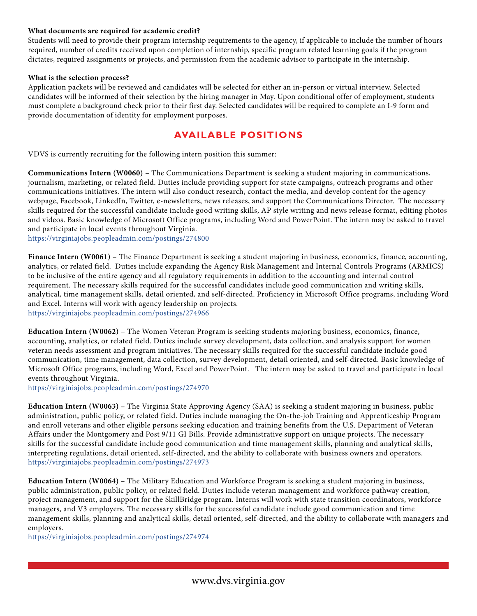#### **What documents are required for academic credit?**

Students will need to provide their program internship requirements to the agency, if applicable to include the number of hours required, number of credits received upon completion of internship, specific program related learning goals if the program dictates, required assignments or projects, and permission from the academic advisor to participate in the internship.

#### **What is the selection process?**

Application packets will be reviewed and candidates will be selected for either an in-person or virtual interview. Selected candidates will be informed of their selection by the hiring manager in May. Upon conditional offer of employment, students must complete a background check prior to their first day. Selected candidates will be required to complete an I-9 form and provide documentation of identity for employment purposes.

### **AVAILABLE POSITIONS**

VDVS is currently recruiting for the following intern position this summer:

**Communications Intern (W0060)** – The Communications Department is seeking a student majoring in communications, journalism, marketing, or related field. Duties include providing support for state campaigns, outreach programs and other communications initiatives. The intern will also conduct research, contact the media, and develop content for the agency webpage, Facebook, LinkedIn, Twitter, e-newsletters, news releases, and support the Communications Director. The necessary skills required for the successful candidate include good writing skills, AP style writing and news release format, editing photos and videos. Basic knowledge of Microsoft Office programs, including Word and PowerPoint. The intern may be asked to travel and participate in local events throughout Virginia.

https://virginiajobs.peopleadmin.com/postings/274800

**Finance Intern (W0061)** – The Finance Department is seeking a student majoring in business, economics, finance, accounting, analytics, or related field. Duties include expanding the Agency Risk Management and Internal Controls Programs (ARMICS) to be inclusive of the entire agency and all regulatory requirements in addition to the accounting and internal control requirement. The necessary skills required for the successful candidates include good communication and writing skills, analytical, time management skills, detail oriented, and self-directed. Proficiency in Microsoft Office programs, including Word and Excel. Interns will work with agency leadership on projects. https://virginiajobs.peopleadmin.com/postings/274966

**Education Intern (W0062)** – The Women Veteran Program is seeking students majoring business, economics, finance, accounting, analytics, or related field. Duties include survey development, data collection, and analysis support for women veteran needs assessment and program initiatives. The necessary skills required for the successful candidate include good communication, time management, data collection, survey development, detail oriented, and self-directed. Basic knowledge of Microsoft Office programs, including Word, Excel and PowerPoint. The intern may be asked to travel and participate in local events throughout Virginia.

https://virginiajobs.peopleadmin.com/postings/274970

**Education Intern (W0063)** – The Virginia State Approving Agency (SAA) is seeking a student majoring in business, public administration, public policy, or related field. Duties include managing the On-the-job Training and Apprenticeship Program and enroll veterans and other eligible persons seeking education and training benefits from the U.S. Department of Veteran Affairs under the Montgomery and Post 9/11 GI Bills. Provide administrative support on unique projects. The necessary skills for the successful candidate include good communication and time management skills, planning and analytical skills, interpreting regulations, detail oriented, self-directed, and the ability to collaborate with business owners and operators. https://virginiajobs.peopleadmin.com/postings/274973

**Education Intern (W0064)** – The Military Education and Workforce Program is seeking a student majoring in business, public administration, public policy, or related field. Duties include veteran management and workforce pathway creation, project management, and support for the SkillBridge program. Interns will work with state transition coordinators, workforce managers, and V3 employers. The necessary skills for the successful candidate include good communication and time management skills, planning and analytical skills, detail oriented, self-directed, and the ability to collaborate with managers and employers.

https://virginiajobs.peopleadmin.com/postings/274974